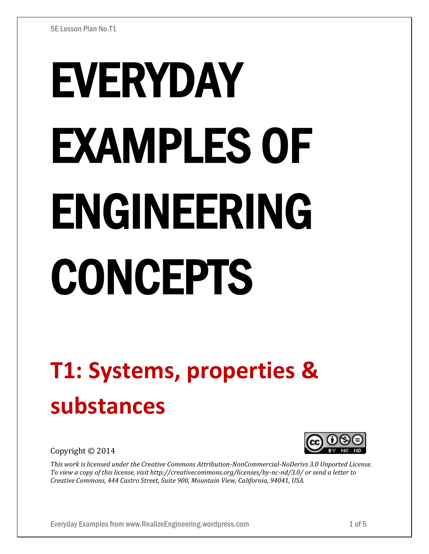# EVERYDAY EXAMPLES OF ENGINEERING CONCEPTS

## **T1: Systems, properties & substances**

Copyright © 2014

*This work is licensed under the Creative Commons Attribution-NonCommercial-NoDerivs 3.0 Unported License. To view a copy of this license, visit http://creativecommons.org/licenses/by-nc-nd/3.0/ or send a letter to Creative Commons, 444 Castro Street, Suite 900, Mountain View, California, 94041, USA.*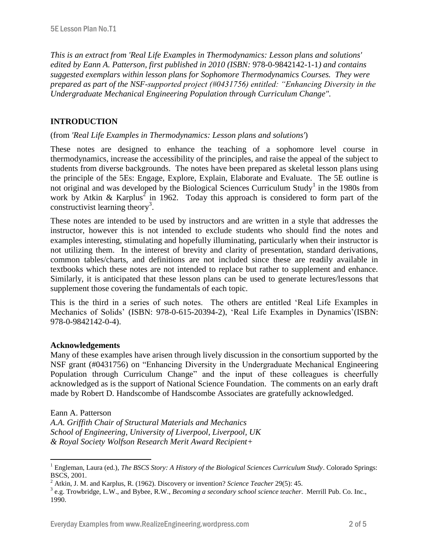*This is an extract from 'Real Life Examples in Thermodynamics: Lesson plans and solutions' edited by Eann A. Patterson, first published in 2010 (ISBN:* 978-0-9842142-1-1*) and contains suggested exemplars within lesson plans for Sophomore Thermodynamics Courses. They were prepared as part of the NSF-supported project (#0431756) entitled: "Enhancing Diversity in the Undergraduate Mechanical Engineering Population through Curriculum Change".* 

### **INTRODUCTION**

#### (from *'Real Life Examples in Thermodynamics: Lesson plans and solutions'*)

These notes are designed to enhance the teaching of a sophomore level course in thermodynamics, increase the accessibility of the principles, and raise the appeal of the subject to students from diverse backgrounds. The notes have been prepared as skeletal lesson plans using the principle of the 5Es: Engage, Explore, Explain, Elaborate and Evaluate. The 5E outline is not original and was developed by the Biological Sciences Curriculum Study<sup>1</sup> in the 1980s from work by Atkin & Karplus<sup>2</sup> in 1962. Today this approach is considered to form part of the constructivist learning theory<sup>3</sup>.

These notes are intended to be used by instructors and are written in a style that addresses the instructor, however this is not intended to exclude students who should find the notes and examples interesting, stimulating and hopefully illuminating, particularly when their instructor is not utilizing them. In the interest of brevity and clarity of presentation, standard derivations, common tables/charts, and definitions are not included since these are readily available in textbooks which these notes are not intended to replace but rather to supplement and enhance. Similarly, it is anticipated that these lesson plans can be used to generate lectures/lessons that supplement those covering the fundamentals of each topic.

This is the third in a series of such notes. The others are entitled 'Real Life Examples in Mechanics of Solids' (ISBN: 978-0-615-20394-2), 'Real Life Examples in Dynamics'(ISBN: 978-0-9842142-0-4).

#### **Acknowledgements**

Many of these examples have arisen through lively discussion in the consortium supported by the NSF grant (#0431756) on "Enhancing Diversity in the Undergraduate Mechanical Engineering Population through Curriculum Change" and the input of these colleagues is cheerfully acknowledged as is the support of National Science Foundation. The comments on an early draft made by Robert D. Handscombe of Handscombe Associates are gratefully acknowledged.

#### Eann A. Patterson

 $\overline{a}$ 

*A.A. Griffith Chair of Structural Materials and Mechanics School of Engineering, University of Liverpool, Liverpool, UK & Royal Society Wolfson Research Merit Award Recipient+*

<sup>&</sup>lt;sup>1</sup> Engleman, Laura (ed.), *The BSCS Story: A History of the Biological Sciences Curriculum Study*. Colorado Springs: BSCS, 2001.

<sup>2</sup> Atkin, J. M. and Karplus, R. (1962). Discovery or invention? *Science Teacher* 29(5): 45.

<sup>3</sup> e.g. Trowbridge, L.W., and Bybee, R.W., *Becoming a secondary school science teacher*. Merrill Pub. Co. Inc., 1990.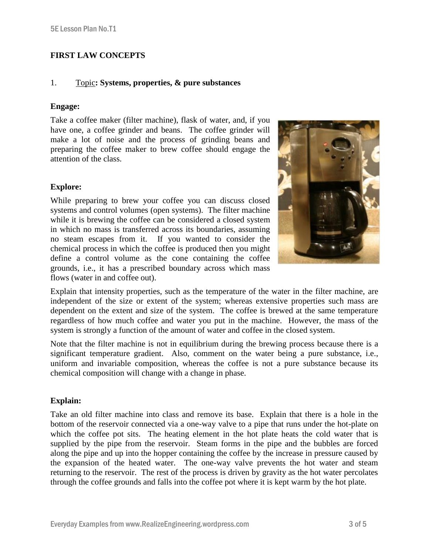#### **FIRST LAW CONCEPTS**

#### 1. Topic**: Systems, properties, & pure substances**

#### **Engage:**

Take a coffee maker (filter machine), flask of water, and, if you have one, a coffee grinder and beans. The coffee grinder will make a lot of noise and the process of grinding beans and preparing the coffee maker to brew coffee should engage the attention of the class.

#### **Explore:**

While preparing to brew your coffee you can discuss closed systems and control volumes (open systems). The filter machine while it is brewing the coffee can be considered a closed system in which no mass is transferred across its boundaries, assuming no steam escapes from it. If you wanted to consider the chemical process in which the coffee is produced then you might define a control volume as the cone containing the coffee grounds, i.e., it has a prescribed boundary across which mass flows (water in and coffee out).



Explain that intensity properties, such as the temperature of the water in the filter machine, are independent of the size or extent of the system; whereas extensive properties such mass are dependent on the extent and size of the system. The coffee is brewed at the same temperature regardless of how much coffee and water you put in the machine. However, the mass of the system is strongly a function of the amount of water and coffee in the closed system.

Note that the filter machine is not in equilibrium during the brewing process because there is a significant temperature gradient. Also, comment on the water being a pure substance, i.e., uniform and invariable composition, whereas the coffee is not a pure substance because its chemical composition will change with a change in phase.

#### **Explain:**

Take an old filter machine into class and remove its base. Explain that there is a hole in the bottom of the reservoir connected via a one-way valve to a pipe that runs under the hot-plate on which the coffee pot sits. The heating element in the hot plate heats the cold water that is supplied by the pipe from the reservoir. Steam forms in the pipe and the bubbles are forced along the pipe and up into the hopper containing the coffee by the increase in pressure caused by the expansion of the heated water. The one-way valve prevents the hot water and steam returning to the reservoir. The rest of the process is driven by gravity as the hot water percolates through the coffee grounds and falls into the coffee pot where it is kept warm by the hot plate.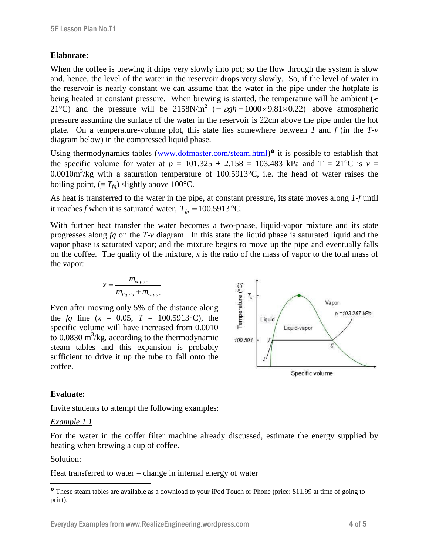#### **Elaborate:**

When the coffee is brewing it drips very slowly into pot; so the flow through the system is slow and, hence, the level of the water in the reservoir drops very slowly. So, if the level of water in the reservoir is nearly constant we can assume that the water in the pipe under the hotplate is being heated at constant pressure. When brewing is started, the temperature will be ambient ( $\approx$ 21<sup>o</sup>C) and the pressure will be 2158N/m<sup>2</sup> (=  $\rho gh = 1000 \times 9.81 \times 0.22$ ) above atmospheric pressure assuming the surface of the water in the reservoir is 22cm above the pipe under the hot plate. On a temperature-volume plot, this state lies somewhere between *1* and *f* (in the *T-v* diagram below) in the compressed liquid phase.

Using thermodynamics tables [\(www.dofmaster.com/steam.html\)](http://www.dofmaster.com/steam.html)<sup>o</sup> it is possible to establish that the specific volume for water at  $p = 101.325 + 2.158 = 103.483$  kPa and T = 21<sup>o</sup>C is  $v =$ 0.0010m<sup>3</sup>/kg with a saturation temperature of 100.5913 °C, i.e. the head of water raises the boiling point,  $(\equiv T_{fg})$  slightly above 100°C.

As heat is transferred to the water in the pipe, at constant pressure, its state moves along *1*-*f* until it reaches *f* when it is saturated water,  $T_{fg} = 100.5913 \text{ °C}$ .

With further heat transfer the water becomes a two-phase, liquid-vapor mixture and its state progresses along *fg* on the *T-v* diagram. In this state the liquid phase is saturated liquid and the vapor phase is saturated vapor; and the mixture begins to move up the pipe and eventually falls on the coffee. The quality of the mixture, *x* is the ratio of the mass of vapor to the total mass of the vapor:

$$
x = \frac{m_{vapor}}{m_{liquid} + m_{vapor}}
$$

Even after moving only 5% of the distance along the *fg* line  $(x = 0.05, T = 100.5913^{\circ}C)$ , the specific volume will have increased from 0.0010 to  $0.0830 \text{ m}^3/\text{kg}$ , according to the thermodynamic steam tables and this expansion is probably sufficient to drive it up the tube to fall onto the coffee.



#### **Evaluate:**

Invite students to attempt the following examples:

#### *Example 1.1*

For the water in the coffer filter machine already discussed, estimate the energy supplied by heating when brewing a cup of coffee.

#### Solution:

 $\overline{a}$ 

Heat transferred to water  $=$  change in internal energy of water

These steam tables are available as a download to your iPod Touch or Phone (price: \$11.99 at time of going to print).